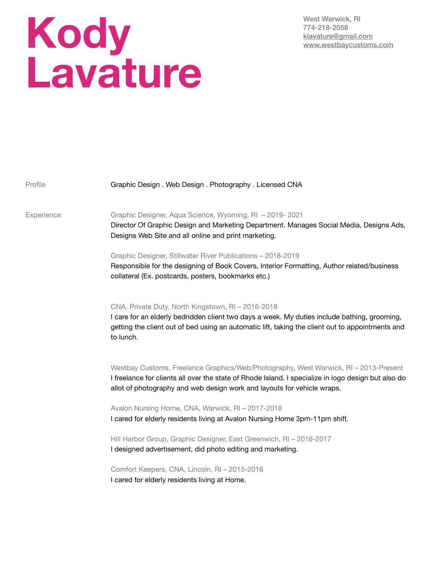## **Kody Lavature**

West Warwick, RI 774-218-2058 [klavature@gmail.com](mailto:klavature@gmail.com) [www.westbaycustoms.com](http://www.westbaycustoms.com)

| Profile    | Graphic Design . Web Design . Photography . Licensed CNA                                                                                                                                                                                                               |
|------------|------------------------------------------------------------------------------------------------------------------------------------------------------------------------------------------------------------------------------------------------------------------------|
| Experience | Graphic Designer, Aqua Science, Wyoming, RI - 2019-2021<br>Director Of Graphic Design and Marketing Department. Manages Social Media, Designs Ads,<br>Designs Web Site and all online and print marketing.                                                             |
|            | Graphic Designer, Stillwater River Publications - 2018-2019<br>Responsible for the designing of Book Covers, Interior Formatting, Author related/business<br>collateral (Ex. postcards, posters, bookmarks etc.)                                                       |
|            | CNA, Private Duty, North Kingstown, RI - 2016-2018<br>I care for an elderly bedridden client two days a week. My duties include bathing, grooming,<br>getting the client out of bed using an automatic lift, taking the client out to appointments and<br>to lunch.    |
|            | Westbay Customs, Freelance Graphics/Web/Photography, West Warwick, RI - 2013-Present<br>I freelance for clients all over the state of Rhode Island. I specialize in logo design but also do<br>allot of photography and web design work and layouts for vehicle wraps. |
|            | Avalon Nursing Home, CNA, Warwick, RI - 2017-2018                                                                                                                                                                                                                      |
|            | I cared for elderly residents living at Avalon Nursing Home 3pm-11pm shift.                                                                                                                                                                                            |
|            | Hill Harbor Group, Graphic Designer, East Greenwich, RI - 2016-2017                                                                                                                                                                                                    |
|            | I designed advertisement, did photo editing and marketing.                                                                                                                                                                                                             |
|            | Comfort Keepers, CNA, Lincoln, RI - 2015-2016                                                                                                                                                                                                                          |
|            | I cared for elderly residents living at Home.                                                                                                                                                                                                                          |